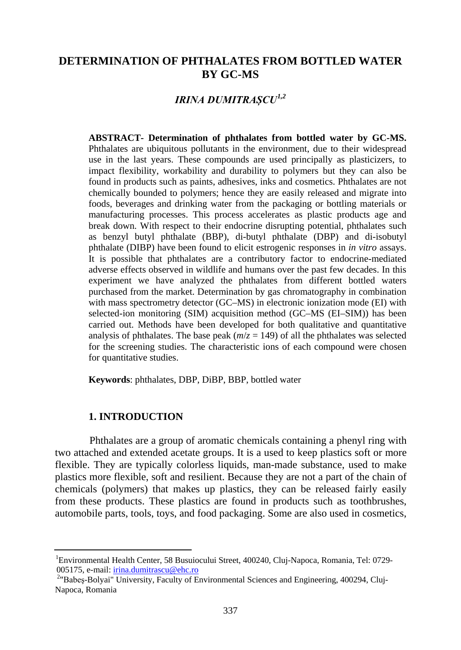## **DETERMINATION OF PHTHALATES FROM BOTTLED WATER BY GC-MS**

# *IRINA DUMITRAȘCU[1,](#page-0-0)2*

**ABSTRACT- Determination of phthalates from bottled water by GC-MS.** Phthalates are ubiquitous pollutants in the environment, due to their widespread use in the last years. These compounds are used principally as plasticizers, to impact flexibility, workability and durability to polymers but they can also be found in products such as paints, adhesives, inks and cosmetics. Phthalates are not chemically bounded to polymers; hence they are easily released and migrate into foods, beverages and drinking water from the packaging or bottling materials or manufacturing processes. This process accelerates as plastic products age and break down. With respect to their endocrine disrupting potential, phthalates such as benzyl butyl phthalate (BBP), di-butyl phthalate (DBP) and di-isobutyl phthalate (DIBP) have been found to elicit estrogenic responses in *in vitro* assays. It is possible that phthalates are a contributory factor to endocrine-mediated adverse effects observed in wildlife and humans over the past few decades. In this experiment we have analyzed the phthalates from different bottled waters purchased from the market. Determination by gas chromatography in combination with mass spectrometry detector (GC–MS) in electronic ionization mode (EI) with selected-ion monitoring (SIM) acquisition method (GC–MS (EI–SIM)) has been carried out. Methods have been developed for both qualitative and quantitative analysis of phthalates. The base peak  $(m/z = 149)$  of all the phthalates was selected for the screening studies. The characteristic ions of each compound were chosen for quantitative studies.

**Keywords**: phthalates, DBP, DiBP, BBP, bottled water

#### **1. INTRODUCTION**

Phthalates are a group of aromatic chemicals containing a phenyl ring with two attached and extended acetate groups. It is a used to keep plastics soft or more flexible. They are typically colorless liquids, man-made substance, used to make plastics more flexible, soft and resilient. Because they are not a part of the chain of chemicals (polymers) that makes up plastics, they can be released fairly easily from these products. These plastics are found in products such as toothbrushes, automobile parts, tools, toys, and food packaging. Some are also used in cosmetics,

<span id="page-0-0"></span> <sup>1</sup> Environmental Health Center, 58 Busuiocului Street, 400240, Cluj-Napoca, Romania, Tel: 0729- 005175, e-mail[: irina.dumitrascu@ehc.ro](mailto:irina.dumitrascu@ehc.ro) <sup>2</sup>

<sup>&</sup>lt;sup>2</sup>"Babeş-Bolyai" University, Faculty of Environmental Sciences and Engineering, 400294, Cluj-Napoca, Romania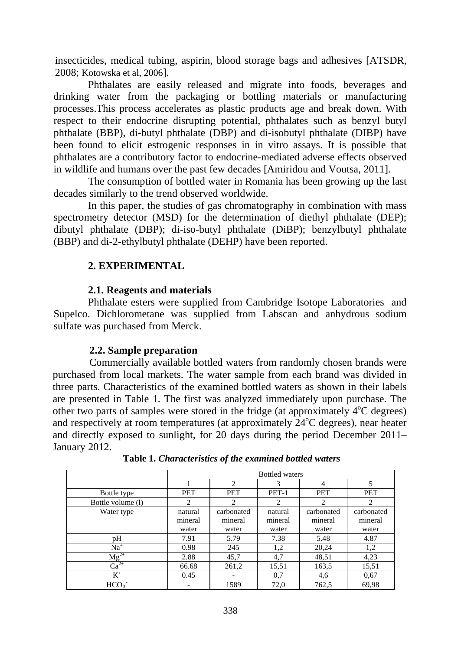insecticides, medical tubing, aspirin, blood storage bags and adhesives [ATSDR, 2008; Kotowska et al, 2006].

Phthalates are easily released and migrate into foods, beverages and drinking water from the packaging or bottling materials or manufacturing processes.This process accelerates as plastic products age and break down. With respect to their endocrine disrupting potential, phthalates such as benzyl butyl phthalate (BBP), di-butyl phthalate (DBP) and di-isobutyl phthalate (DIBP) have been found to elicit estrogenic responses in in vitro assays. It is possible that phthalates are a contributory factor to endocrine-mediated adverse effects observed in wildlife and humans over the past few decades [Amiridou and Voutsa, 2011].

The consumption of bottled water in Romania has been growing up the last decades similarly to the trend observed worldwide.

In this paper, the studies of gas chromatography in combination with mass spectrometry detector (MSD) for the determination of diethyl phthalate (DEP); dibutyl phthalate (DBP); di-iso-butyl phthalate (DiBP); benzylbutyl phthalate (BBP) and di-2-ethylbutyl phthalate (DEHP) have been reported.

## **2. EXPERIMENTAL**

#### **2.1. Reagents and materials**

Phthalate esters were supplied from Cambridge Isotope Laboratories and Supelco. Dichlorometane was supplied from Labscan and anhydrous sodium sulfate was purchased from Merck.

## **2.2. Sample preparation**

Commercially available bottled waters from randomly chosen brands were purchased from local markets. The water sample from each brand was divided in three parts. Characteristics of the examined bottled waters as shown in their labels are presented in Table 1. The first was analyzed immediately upon purchase. The other two parts of samples were stored in the fridge (at approximately 4°C degrees) and respectively at room temperatures (at approximately 24°C degrees), near heater and directly exposed to sunlight, for 20 days during the period December 2011– January 2012.

|                   | <b>Bottled</b> waters |                       |                    |                       |                       |  |
|-------------------|-----------------------|-----------------------|--------------------|-----------------------|-----------------------|--|
|                   |                       | 2                     | 3                  | 4                     |                       |  |
| Bottle type       | PET                   | <b>PET</b>            | $PET-1$            | <b>PET</b>            | <b>PET</b>            |  |
| Bottle volume (1) | 2                     | $\overline{c}$        | $\overline{c}$     | $\overline{c}$        | 2                     |  |
| Water type        | natural<br>mineral    | carbonated<br>mineral | natural<br>mineral | carbonated<br>mineral | carbonated<br>mineral |  |
|                   | water                 | water                 | water              | water                 | water                 |  |
| pH                | 7.91                  | 5.79                  | 7.38               | 5.48                  | 4.87                  |  |
| $Na+$             | 0.98                  | 245                   | 1,2                | 20,24                 | 1,2                   |  |
| $Mg^{2+}$         | 2.88                  | 45,7                  | 4,7                | 48,51                 | 4,23                  |  |
| $Ca2+$            | 66.68                 | 261,2                 | 15,51              | 163,5                 | 15,51                 |  |
| $K^+$             | 0.45                  |                       | 0,7                | 4,6                   | 0.67                  |  |
| HCO <sub>3</sub>  |                       | 1589                  | 72,0               | 762,5                 | 69,98                 |  |

**Table 1.** *Characteristics of the examined bottled waters*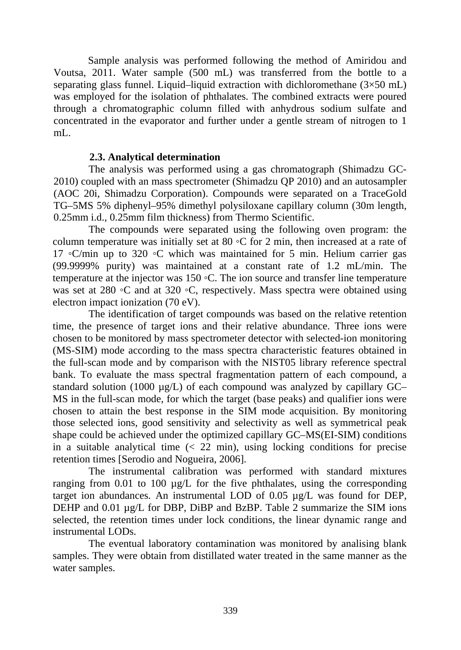Sample analysis was performed following the method of Amiridou and Voutsa, 2011. Water sample (500 mL) was transferred from the bottle to a separating glass funnel. Liquid–liquid extraction with dichloromethane  $(3\times50 \text{ mL})$ was employed for the isolation of phthalates. The combined extracts were poured through a chromatographic column filled with anhydrous sodium sulfate and concentrated in the evaporator and further under a gentle stream of nitrogen to 1 mL.

#### **2.3. Analytical determination**

The analysis was performed using a gas chromatograph (Shimadzu GC-2010) coupled with an mass spectrometer (Shimadzu QP 2010) and an autosampler (AOC 20i, Shimadzu Corporation). Compounds were separated on a TraceGold TG–5MS 5% diphenyl–95% dimethyl polysiloxane capillary column (30m length, 0.25mm i.d., 0.25mm film thickness) from Thermo Scientific.

The compounds were separated using the following oven program: the column temperature was initially set at 80  $\circ$ C for 2 min, then increased at a rate of 17 ◦C/min up to 320 ◦C which was maintained for 5 min. Helium carrier gas (99.9999% purity) was maintained at a constant rate of 1.2 mL/min. The temperature at the injector was 150 ◦C. The ion source and transfer line temperature was set at 280 ◦C and at 320 ◦C, respectively. Mass spectra were obtained using electron impact ionization (70 eV).

The identification of target compounds was based on the relative retention time, the presence of target ions and their relative abundance. Three ions were chosen to be monitored by mass spectrometer detector with selected-ion monitoring (MS-SIM) mode according to the mass spectra characteristic features obtained in the full-scan mode and by comparison with the NIST05 library reference spectral bank. To evaluate the mass spectral fragmentation pattern of each compound, a standard solution (1000 µg/L) of each compound was analyzed by capillary GC– MS in the full-scan mode, for which the target (base peaks) and qualifier ions were chosen to attain the best response in the SIM mode acquisition. By monitoring those selected ions, good sensitivity and selectivity as well as symmetrical peak shape could be achieved under the optimized capillary GC–MS(EI-SIM) conditions in a suitable analytical time  $\left($   $\lt$  22 min), using locking conditions for precise retention times [Serodio and Nogueira, 2006].

The instrumental calibration was performed with standard mixtures ranging from 0.01 to 100  $\mu$ g/L for the five phthalates, using the corresponding target ion abundances. An instrumental LOD of 0.05 µg/L was found for DEP, DEHP and 0.01 µg/L for DBP, DiBP and BzBP. Table 2 summarize the SIM ions selected, the retention times under lock conditions, the linear dynamic range and instrumental LODs.

The eventual laboratory contamination was monitored by analising blank samples. They were obtain from distillated water treated in the same manner as the water samples.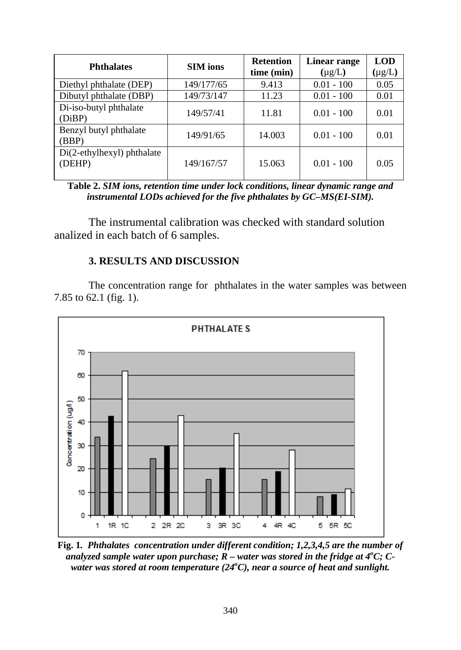| <b>Phthalates</b>                    | <b>SIM</b> ions | <b>Retention</b><br>time (min) | Linear range<br>$(\mu g/L)$ | <b>LOD</b><br>$(\mu g/L)$ |
|--------------------------------------|-----------------|--------------------------------|-----------------------------|---------------------------|
| Diethyl phthalate (DEP)              | 149/177/65      | 9.413                          | $0.01 - 100$                | 0.05                      |
| Dibutyl phthalate (DBP)              | 149/73/147      | 11.23                          | $0.01 - 100$                | 0.01                      |
| Di-iso-butyl phthalate<br>(DiBP)     | 149/57/41       | 11.81                          | $0.01 - 100$                | 0.01                      |
| Benzyl butyl phthalate<br>(BBP)      | 149/91/65       | 14.003                         | $0.01 - 100$                | 0.01                      |
| Di(2-ethylhexyl) phthalate<br>(DEHP) | 149/167/57      | 15.063                         | $0.01 - 100$                | 0.05                      |

**Table 2.** *SIM ions, retention time under lock conditions, linear dynamic range and instrumental LODs achieved for the five phthalates by GC–MS(EI-SIM).*

The instrumental calibration was checked with standard solution analized in each batch of 6 samples.

## **3. RESULTS AND DISCUSSION**

The concentration range for phthalates in the water samples was between 7.85 to 62.1 (fig. 1).



**Fig. 1***. Phthalates concentration under different condition; 1,2,3,4,5 are the number of analyzed sample water upon purchase; R – water was stored in the fridge at 4<sup>o</sup> C; C*water was stored at room temperature (24°C), near a source of heat and sunlight.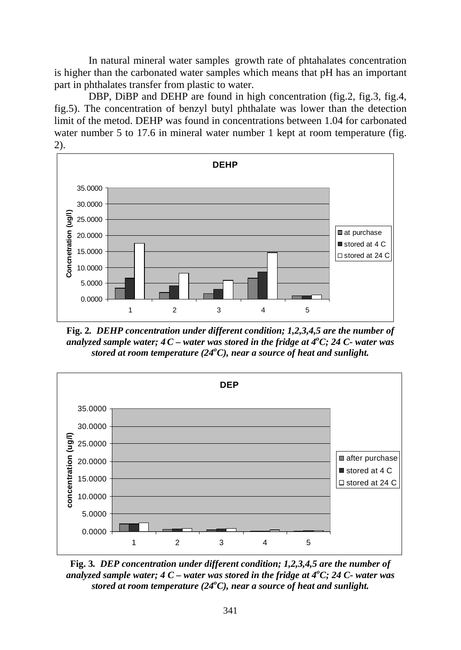In natural mineral water samples growth rate of phtahalates concentration is higher than the carbonated water samples which means that pH has an important part in phthalates transfer from plastic to water.

DBP, DiBP and DEHP are found in high concentration (fig.2, fig.3, fig.4, fig.5). The concentration of benzyl butyl phthalate was lower than the detection limit of the metod. DEHP was found in concentrations between 1.04 for carbonated water number 5 to 17.6 in mineral water number 1 kept at room temperature (fig. 2).



**Fig. 2***. DEHP concentration under different condition; 1,2,3,4,5 are the number of analyzed sample water; 4C – water was stored in the fridge at 4<sup>o</sup> C; 24 C- water was stored at room temperature (24<sup>o</sup> C), near a source of heat and sunlight.*



**Fig. 3***. DEP concentration under different condition; 1,2,3,4,5 are the number of analyzed sample water; 4 C – water was stored in the fridge at 4<sup>o</sup> C; 24 C- water was stored at room temperature (24<sup>o</sup> C), near a source of heat and sunlight.*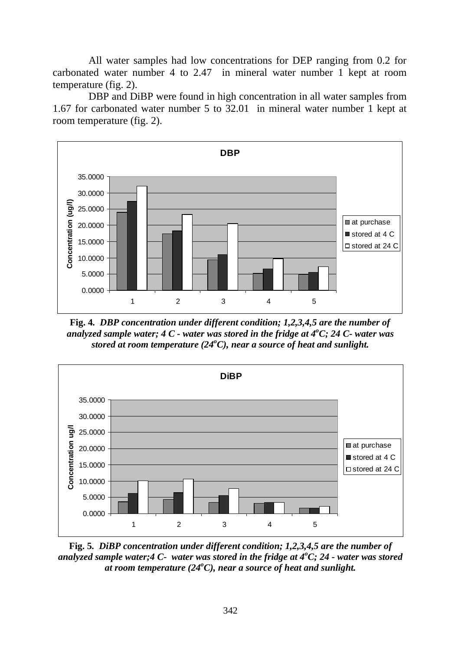All water samples had low concentrations for DEP ranging from 0.2 for carbonated water number 4 to 2.47 in mineral water number 1 kept at room temperature (fig. 2).

DBP and DiBP were found in high concentration in all water samples from 1.67 for carbonated water number 5 to 32.01 in mineral water number 1 kept at room temperature (fig. 2).



**Fig. 4***. DBP concentration under different condition; 1,2,3,4,5 are the number of analyzed sample water; 4 C - water was stored in the fridge at 4<sup>o</sup> C; 24 C- water was stored at room temperature (24<sup>o</sup> C), near a source of heat and sunlight.*



**Fig. 5***. DiBP concentration under different condition; 1,2,3,4,5 are the number of analyzed sample water;4 C- water was stored in the fridge at 4<sup>o</sup> C; 24 - water was stored at room temperature (24<sup>o</sup> C), near a source of heat and sunlight.*